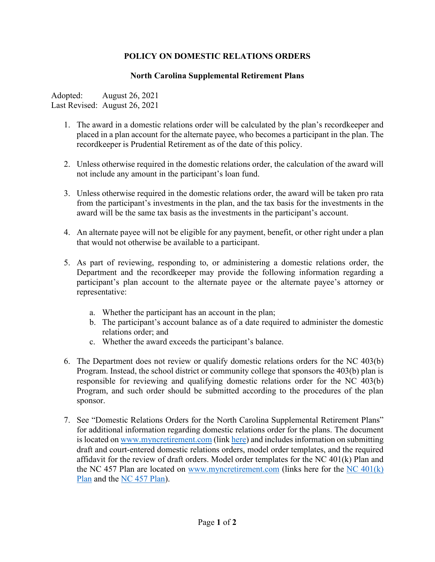## **POLICY ON DOMESTIC RELATIONS ORDERS**

## **North Carolina Supplemental Retirement Plans**

Adopted: August 26, 2021 Last Revised: August 26, 2021

- 1. The award in a domestic relations order will be calculated by the plan's recordkeeper and placed in a plan account for the alternate payee, who becomes a participant in the plan. The recordkeeper is Prudential Retirement as of the date of this policy.
- 2. Unless otherwise required in the domestic relations order, the calculation of the award will not include any amount in the participant's loan fund.
- 3. Unless otherwise required in the domestic relations order, the award will be taken pro rata from the participant's investments in the plan, and the tax basis for the investments in the award will be the same tax basis as the investments in the participant's account.
- 4. An alternate payee will not be eligible for any payment, benefit, or other right under a plan that would not otherwise be available to a participant.
- 5. As part of reviewing, responding to, or administering a domestic relations order, the Department and the recordkeeper may provide the following information regarding a participant's plan account to the alternate payee or the alternate payee's attorney or representative:
	- a. Whether the participant has an account in the plan;
	- b. The participant's account balance as of a date required to administer the domestic relations order; and
	- c. Whether the award exceeds the participant's balance.
- 6. The Department does not review or qualify domestic relations orders for the NC 403(b) Program. Instead, the school district or community college that sponsors the 403(b) plan is responsible for reviewing and qualifying domestic relations order for the NC 403(b) Program, and such order should be submitted according to the procedures of the plan sponsor.
- 7. See "Domestic Relations Orders for the North Carolina Supplemental Retirement Plans" for additional information regarding domestic relations order for the plans. The document is located on [www.myncretirement.com](http://www.myncretirement.com/) (link [here\)](https://files.nc.gov/retire/documents/files/Domestic%20Orders/Domestic-Relations-Orders-for-the-NC-Supplemental-Retirement-Plans.pdf) and includes information on submitting draft and court-entered domestic relations orders, model order templates, and the required affidavit for the review of draft orders. Model order templates for the NC 401(k) Plan and the NC 457 Plan are located on [www.myncretirement.com](http://www.myncretirement.com/) (links here for the [NC 401\(k\)](https://files.nc.gov/retire/documents/files/Domestic%20Orders/401kModel.pdf)  [Plan](https://files.nc.gov/retire/documents/files/Domestic%20Orders/401kModel.pdf) and the [NC 457 Plan\)](https://files.nc.gov/retire/documents/files/Domestic%20Orders/457Model.pdf).